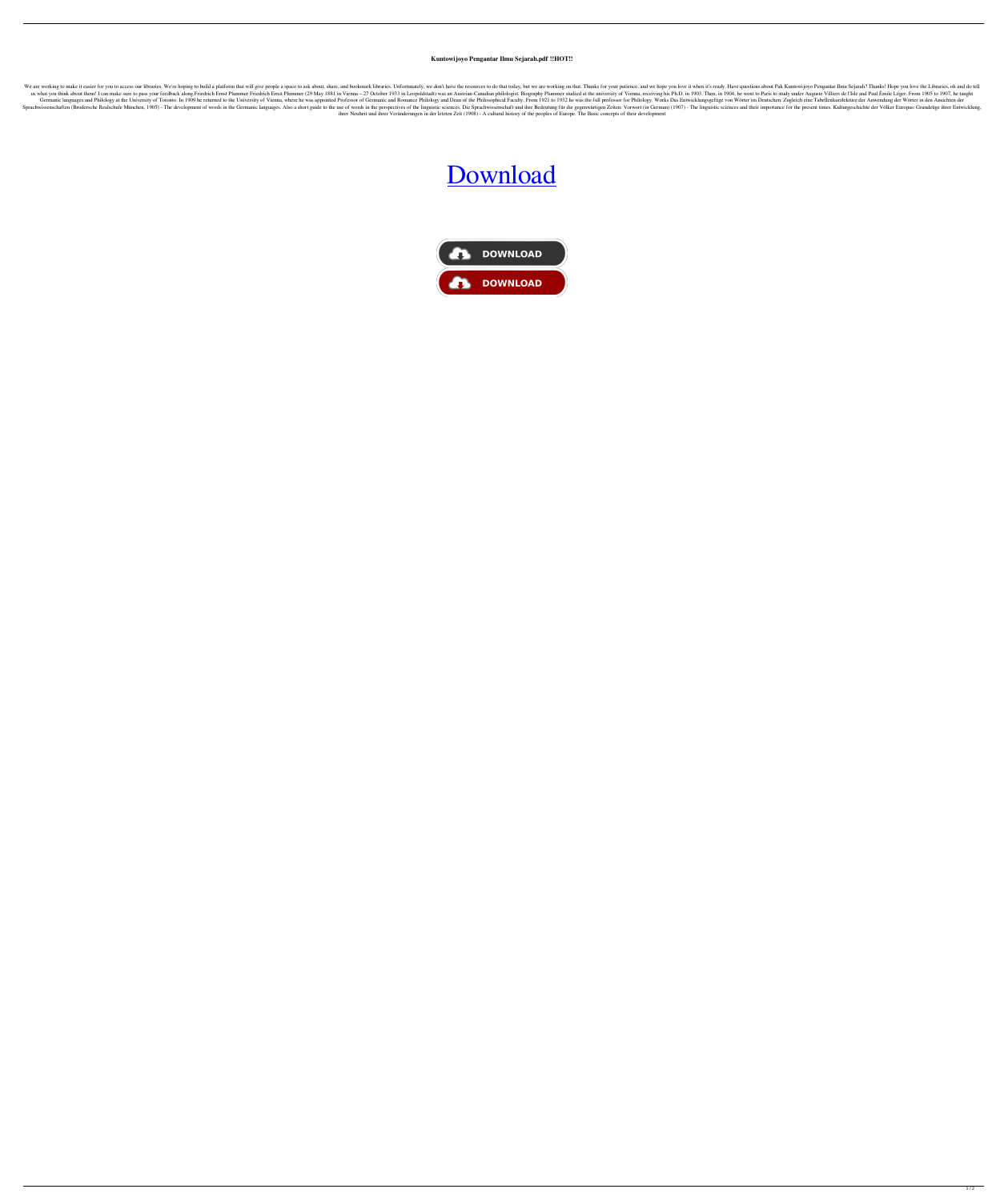## **Kuntowijoyo Pengantar Ilmu Sejarah.pdf !!HOT!!**

We are working to make it easier for you to access our libraries. We're hoping to build a platform that will give people a space to ask about, share, and bookmark libraries. Unfortunately, we don't have the resources to do us what you think about them! I can make sure to pass your feedback along. Friedrich Ernst Plummer Friedrich Ernst Plummer (29 May 1881 in Vienna - 27 October 1933 in Leopoldstadt) was an Austrian-Canadian philologist. Bio Germanic languages and Philology at the University of Toronto. In 1909 he returned to the University of Vienna, where he was appointed Professor of Germanic and Romance Philology and Dean of the Philosophical Faculty. From Sprachwissenschaften (Brodersche Realschule München, 1905) - The development of words in the Germanic languages. Also a short guide to the use of words in the perspectives of the linguistic sciences. Die Sprachwissenschaft ihrer Neuheit und ihrer Veränderungen in der letzten Zeit (1908) - A cultural history of the peoples of Europe. The Basic concepts of their development

## [Download](https://urluss.com/2l0ksr)